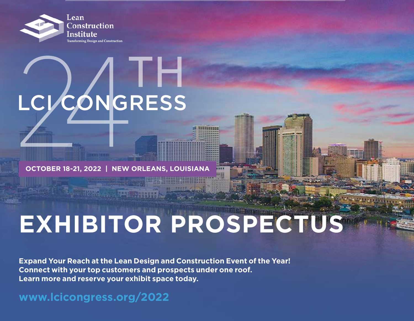

# LCYCONGRESS

**OCTOBER 18-21, 2022 | NEW ORLEANS, LOUISIANA**

## **EXHIBITOR PROSPECTUS**

**Expand Your Reach at the Lean Design and Construction Event of the Year! Connect with your top customers and prospects under one roof. Learn more and reserve your exhibit space today.**

**[www.lcicongress.org/2022](http://www.lcicongress.org/2022)**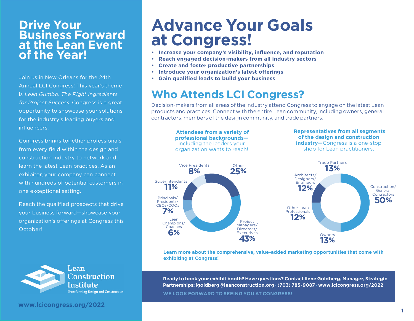#### **Drive Your Business Forward at the Lean Event of the Year!**

Join us in New Orleans for the 24th Annual LCI Congress! This year's theme is Lean Gumbo: The Right Ingredients for Project Success. Congress is a great opportunity to showcase your solutions for the industry's leading buyers and influencers.

Congress brings together professionals from every field within the design and construction industry to network and learn the latest Lean practices. As an exhibitor, your company can connect with hundreds of potential customers in one exceptional setting.

Reach the qualified prospects that drive your business forward—showcase your organization's offerings at Congress this **October!** 



**Transforming Design and Construction Presidents/**<br>Transformation Lean Construction<br>Institute

**COACHES [www.lcicongress.org/2022](http://www.lcicongress.org/2022)7**%

## **Advance Your Goals at Congress!**

- **• Increase your company's visibility, influence, and reputation**
- **• Reach engaged decision-makers from all industry sectors**
- **• Create and foster productive partnerships**
- **• Introduce your organization's latest offerings**
- **• Gain qualified leads to build your business**

#### **Who Attends LCI Congress?**

Decision-makers from all areas of the industry attend Congress to engage on the latest Lean products and practices. Connect with the entire Lean community, including owners, general contractors, members of the design community, and trade partners.



**Learn more about the comprehensive, value-added marketing opportunities that come with exhibiting at Congress!**

**Ready to book your exhibit booth? Have questions? Contact Ilene Goldberg, Manager, Strategic Partnerships: igoldberg@leanconstruction.org . (703) 785-9087 . www.lcicongress.org/2022 WE LOOK FORWARD TO SEEING YOU AT CONGRESS!**

General **Contractors 50**%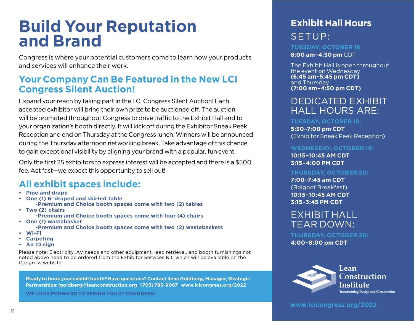## **Build Your Reputation and Brand**

Congress is where your potential customers come to learn how your products and services will enhance their work.

#### **Your Company Can Be Featured in the New LCI Congress Silent Auction!**

Expand your reach by taking part in the LCI Congress Silent Auction! Each accepted exhibitor will bring their own prize to be auctioned off. The auction will be promoted throughout Congress to drive traffic to the Exhibit Hall and to your organization's booth directly. It will kick off during the Exhibitor Sneak Peek Reception and end on Thursday at the Congress lunch. Winners will be announced during the Thursday afternoon networking break. Take advantage of this chance to gain exceptional visibility by aligning your brand with a popular, fun event.

Only the first 25 exhibitors to express interest will be accepted and there is a \$500 fee. Act fast—we expect this opportunity to sell out!

#### **All exhibit spaces include:**

- **• Pipe and drape**
- **• One (1) 6' draped and skirted table -Premium and Choice booth spaces come with two (2) tables**
- **• Two (2) chairs -Premium and Choice booth spaces come with four (4) chairs**
- **• One (1) wastebasket -Premium and Choice booth spaces come with two (2) wastebaskets**
- **• Wi-Fi**
- **• Carpeting**
- **• An ID sign**

Please note: Electricity, AV needs and other equipment, lead retrieval, and booth furnishings not noted above need to be ordered from the Exhibitor Services Kit, which will be available on the Congress website.

**Ready to book your exhibit booth? Have questions? Contact Ilene Goldberg, Manager, Strategic Partnerships: igoldberg@leanconstruction.org . (703) 785-9087 . www.lcicongress.org/2022**

**WE LOOK FORWARD TO SEEING YOU AT CONGRESS!**

#### **Exhibit Hall Hours** SETUP:

**TUESDAY, OCTOBER 18 8:00 am–4:30 pm** CDT

The Exhibit Hall is open throughout the event on Wednesday **(6:45 am–5:45 pm CDT)** and Thursday **(7:00 am–4:50 pm CDT)**

#### DEDICATED EXHIBIT HALL HOURS ARE:

**TUESDAY, OCTOBER 18:**

**5:30–7:00 pm CDT** (Exhibitor Sneak Peek Reception)

**WEDNESDAY, OCTOBER 19: 10:15–10:45 AM CDT 3:15–4:00 PM CDT**

#### **THURSDAY, OCTOBER 20:**

**7:00–7:45 am CDT** (Beignet Breakfast) **10:15–10:45 AM CDT 3:15–3:45 PM CDT**

EXHIBIT HALL TEAR DOWN:

**THURSDAY, OCTOBER 20: 4:00–8:00 pm CDT**

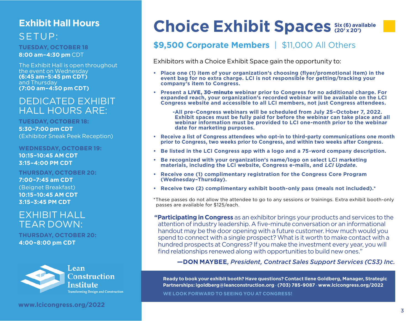#### **Exhibit Hall Hours** SETUP:

**TUESDAY, OCTOBER 18 8:00 am–4:30 pm** CDT

The Exhibit Hall is open throughout the event on Wednesday **(6:45 am–5:45 pm CDT)** and Thursday **(7:00 am–4:50 pm CDT)**

#### DEDICATED EXHIBIT HALL HOURS ARE:

**TUESDAY, OCTOBER 18: 5:30–7:00 pm CDT**

(Exhibitor Sneak Peek Reception)

**WEDNESDAY, OCTOBER 19: 10:15–10:45 AM CDT 3:15–4:00 PM CDT**

**THURSDAY, OCTOBER 20: 7:00–7:45 am CDT** (Beignet Breakfast) **10:15–10:45 AM CDT 3:15–3:45 PM CDT**

#### EXHIBIT HALL TEAR DOWN:

**THURSDAY, OCTOBER 20: 4:00–8:00 pm CDT**



Lean Construction Institute **Transforming Design and Construction** 

**[www.lcicongress.org/2022](http://www.lcicongress.org/2022)**

#### Choice Exhibit Spaces Six (6) available **(20' x 20')**

#### **\$9,500 Corporate Members** |\$11,000 All Others

Exhibitors with a Choice Exhibit Space gain the opportunity to:

- **• Place one (1) item of your organization's choosing (flyer/promotional item) in the event bag for no extra charge. LCI is not responsible for getting/tracking your company's item to Congress.**
- **• Present a** LIVE, 30-minute **webinar prior to Congress for no additional charge. For expanded reach, your organization's recorded webinar will be available on the LCI Congress website and accessible to all LCI members, not just Congress attendees.**
	- **-All pre-Congress webinars will be scheduled from July 25–October 7, 2022. Exhibit spaces must be fully paid for before the webinar can take place and all webinar information must be provided to LCI one-month prior to the webinar date for marketing purposes.**
- **• Receive a list of Congress attendees who opt-in to third-party communications one month prior to Congress, two weeks prior to Congress, and within two weeks after Congress.**
- **• Be listed in the LCI Congress app with a logo and a 75-word company description.**
- **• Be recognized with your organization's name/logo on select LCI marketing materials, including the LCI website, Congress e-mails, and LCI Update.**
- **• Receive one (1) complimentary registration for the Congress Core Program (Wednesday–Thursday).**
- **• Receive two (2) complimentary exhibit booth-only pass (meals not included).\***

\*These passes do not allow the attendee to go to any sessions or trainings. Extra exhibit booth-only passes are available for \$125/each.

**"Participating in Congress** as an exhibitor brings your products and services to the attention of industry leadership. A five-minute conversation or an informational handout may be the door opening with a future customer. How much would you spend to connect with a single prospect? What is it worth to make contact with a hundred prospects at Congress? If you make the investment every year, you will find relationships renewed along with opportunities to build new ones."

**—DON MAYBEE***, President, Contract Sales Support Services (CS3) Inc.*

**Ready to book your exhibit booth? Have questions? Contact Ilene Goldberg, Manager, Strategic Partnerships: igoldberg@leanconstruction.org . (703) 785-9087 . www.lcicongress.org/2022 WE LOOK FORWARD TO SEEING YOU AT CONGRESS!**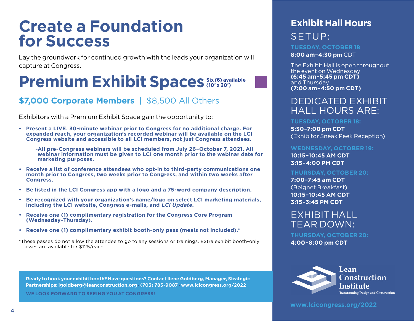## **Create a Foundation for Success**

Lay the groundwork for continued growth with the leads your organization will capture at Congress.

#### **Premium Exhibit Spaces** Six (6) available **(10' x 20')**

#### **\$7,000 Corporate Members** |\$8,500 All Others

Exhibitors with a Premium Exhibit Space gain the opportunity to:

- **• Present a LIVE, 30-minute webinar prior to Congress for no additional charge. For expanded reach, your organization's recorded webinar will be available on the LCI Congress website and accessible to all LCI members, not just Congress attendees.**
	- **-All pre-Congress webinars will be scheduled from July 26–October 7, 2021. All webinar information must be given to LCI one month prior to the webinar date for marketing purposes.**
- **• Receive a list of conference attendees who opt-in to third-party communications one month prior to Congress, two weeks prior to Congress, and within two weeks after Congress.**
- **• Be listed in the LCI Congress app with a logo and a 75-word company description.**
- **• Be recognized with your organization's name/logo on select LCI marketing materials, including the LCI website, Congress e-mails, and LCI Update.**
- **• Receive one (1) complimentary registration for the Congress Core Program (Wednesday–Thursday).**
- **• Receive one (1) complimentary exhibit booth-only pass (meals not included).\***

\*These passes do not allow the attendee to go to any sessions or trainings. Extra exhibit booth-only passes are available for \$125/each.

**Ready to book your exhibit booth? Have questions? Contact Ilene Goldberg, Manager, Strategic Partnerships: igoldberg@leanconstruction.org . (703) 785-9087 . www.lcicongress.org/2022**

**WE LOOK FORWARD TO SEEING YOU AT CONGRESS!**

#### **Exhibit Hall Hours** SETUP:

**TUESDAY, OCTOBER 18 8:00 am–4:30 pm** CDT

The Exhibit Hall is open throughout the event on Wednesday **(6:45 am–5:45 pm CDT)** and Thursday **(7:00 am–4:50 pm CDT)**

#### DEDICATED EXHIBIT HALL HOURS ARE:

**TUESDAY, OCTOBER 18:**

**5:30–7:00 pm CDT** (Exhibitor Sneak Peek Reception)

**WEDNESDAY, OCTOBER 19: 10:15–10:45 AM CDT 3:15–4:00 PM CDT**

#### **THURSDAY, OCTOBER 20:**

**7:00–7:45 am CDT** (Beignet Breakfast) **10:15–10:45 AM CDT 3:15–3:45 PM CDT**

EXHIBIT HALL TEAR DOWN:

**THURSDAY, OCTOBER 20: 4:00–8:00 pm CDT**



**[www.lcicongress.org/2022](http://www.lcicongress.org/2022)**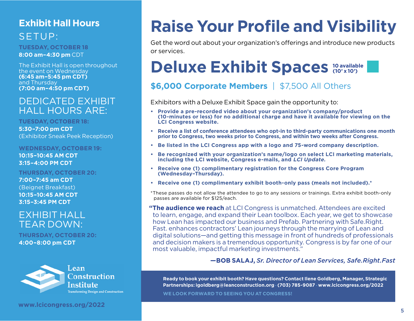#### **Exhibit Hall Hours** SETUP:

**TUESDAY, OCTOBER 18 8:00 am–4:30 pm** CDT

The Exhibit Hall is open throughout the event on Wednesday **(6:45 am–5:45 pm CDT)** and Thursday **(7:00 am–4:50 pm CDT)**

#### DEDICATED EXHIBIT HALL HOURS ARE:

**TUESDAY, OCTOBER 18: 5:30–7:00 pm CDT** (Exhibitor Sneak Peek Reception)

**WEDNESDAY, OCTOBER 19: 10:15–10:45 AM CDT 3:15–4:00 PM CDT**

**THURSDAY, OCTOBER 20: 7:00–7:45 am CDT** (Beignet Breakfast) **10:15–10:45 AM CDT 3:15–3:45 PM CDT**

#### EXHIBIT HALL TEAR DOWN:

**THURSDAY, OCTOBER 20: 4:00–8:00 pm CDT**



Lean **Construction** Institute **Transforming Design and Construction** 

**[www.lcicongress.org/2022](http://www.lcicongress.org/2022)**

## **Raise Your Profile and Visibility**

Get the word out about your organization's offerings and introduce new products or services.

#### Deluxe Exhibit Spaces<sup>10 available</sup> **(10' x 10')**

#### **\$6,000 Corporate Members** |\$7,500 All Others

Exhibitors with a Deluxe Exhibit Space gain the opportunity to:

- **• Provide a pre-recorded video about your organization's company/product (10-minutes or less) for no additional charge and have it available for viewing on the LCI Congress website.**
- **• Receive a list of conference attendees who opt-in to third-party communications one month prior to Congress, two weeks prior to Congress, and within two weeks after Congress.**
- **• Be listed in the LCI Congress app with a logo and 75-word company description.**
- **• Be recognized with your organization's name/logo on select LCI marketing materials, including the LCI website, Congress e-mails, and LCI Update.**
- **• Receive one (1) complimentary registration for the Congress Core Program (Wednesday–Thursday).**
- **• Receive one (1) complimentary exhibit booth-only pass (meals not included).\***
- \*These passes do not allow the attendee to go to any sessions or trainings. Extra exhibit booth-only passes are available for \$125/each.
- **"The audience we reach** at LCI Congress is unmatched. Attendees are excited to learn, engage, and expand their Lean toolbox. Each year, we get to showcase how Lean has impacted our business and Prefab. Partnering with Safe.Right. Fast. enhances contractors' Lean journeys through the marrying of Lean and digital solutions—and getting this message in front of hundreds of professionals and decision makers is a tremendous opportunity. Congress is by far one of our most valuable, impactful marketing investments."

**—BOB SALAJ,** *Sr. Director of Lean Services, Safe.Right.Fast*

**Ready to book your exhibit booth? Have questions? Contact Ilene Goldberg, Manager, Strategic Partnerships: igoldberg@leanconstruction.org . (703) 785-9087 . www.lcicongress.org/2022**

**WE LOOK FORWARD TO SEEING YOU AT CONGRESS!**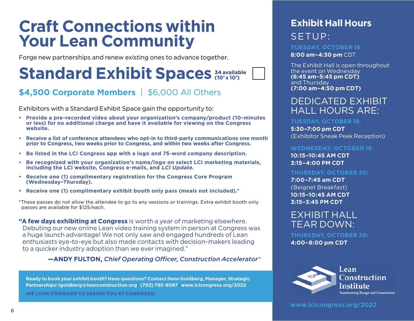## **Craft Connections within Your Lean Community**

Forge new partnerships and renew existing ones to advance together.

#### Standard Exhibit Spaces 34 available **(10' x 10')**

#### **\$4,500 Corporate Members** |\$6,000 All Others

Exhibitors with a Standard Exhibit Space gain the opportunity to:

- **• Provide a pre-recorded video about your organization's company/product (10-minutes or less) for no additional charge and have it available for viewing on the Congress website.**
- **• Receive a list of conference attendees who opt-in to third-party communications one month prior to Congress, two weeks prior to Congress, and within two weeks after Congress.**
- **• Be listed in the LCI Congress app with a logo and 75-word company description.**
- **• Be recognized with your organization's name/logo on select LCI marketing materials, including the LCI website, Congress e-mails, and LCI Update.**
- **• Receive one (1) complimentary registration for the Congress Core Program (Wednesday–Thursday).**
- **• Receive one (1) complimentary exhibit booth only pass (meals not included).\***

\*These passes do not allow the attendee to go to any sessions or trainings. Extra exhibit booth only passes are available for \$125/each.

**"A few days exhibiting at Congress** is worth a year of marketing elsewhere. Debuting our new online Lean video training system in person at Congress was a huge launch advantage! We not only saw and engaged hundreds of Lean enthusiasts eye-to-eye but also made contacts with decision-makers leading to a quicker industry adoption than we ever imagined."

#### **—ANDY FULTON,** *Chief Operating Officer, Construction Accelerator®*

**Ready to book your exhibit booth? Have questions? Contact Ilene Goldberg, Manager, Strategic Partnerships: igoldberg@leanconstruction.org . (703) 785-9087 . www.lcicongress.org/2022**

**WE LOOK FORWARD TO SEEING YOU AT CONGRESS!**

#### **Exhibit Hall Hours** SETUP:

**TUESDAY, OCTOBER 18 8:00 am–4:30 pm** CDT

The Exhibit Hall is open throughout the event on Wednesday **(6:45 am–5:45 pm CDT)** and Thursday **(7:00 am–4:50 pm CDT)**

#### DEDICATED EXHIBIT HALL HOURS ARE:

**TUESDAY, OCTOBER 18:**

**5:30–7:00 pm CDT** (Exhibitor Sneak Peek Reception)

**WEDNESDAY, OCTOBER 19: 10:15–10:45 AM CDT 3:15–4:00 PM CDT**

#### **THURSDAY, OCTOBER 20:**

**7:00–7:45 am CDT** (Beignet Breakfast) **10:15–10:45 AM CDT 3:15–3:45 PM CDT**

EXHIBIT HALL TEAR DOWN:

**THURSDAY, OCTOBER 20: 4:00–8:00 pm CDT**



**[www.lcicongress.org/2022](http://www.lcicongress.org/2022)**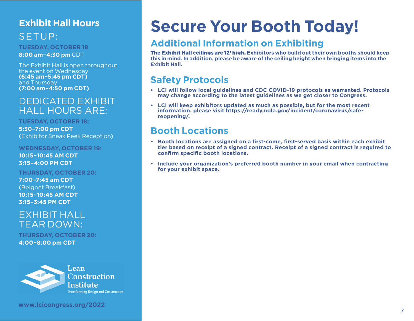#### **Exhibit Hall Hours** SETUP:

**TUESDAY, OCTOBER 18 8:00 am–4:30 pm** CDT

The Exhibit Hall is open throughout the event on Wednesday **(6:45 am–5:45 pm CDT)** and Thursday **(7:00 am–4:50 pm CDT)**

#### DEDICATED EXHIBIT HALL HOURS ARE:

#### **TUESDAY, OCTOBER 18: 5:30–7:00 pm CDT**

(Exhibitor Sneak Peek Reception)

**WEDNESDAY, OCTOBER 19: 10:15–10:45 AM CDT 3:15–4:00 PM CDT**

**THURSDAY, OCTOBER 20: 7:00–7:45 am CDT** (Beignet Breakfast) **10:15–10:45 AM CDT 3:15–3:45 PM CDT**

#### EXHIBIT HALL TEAR DOWN:

**THURSDAY, OCTOBER 20: 4:00–8:00 pm CDT**



Lean **Construction** Institute **Transforming Design and Construction** 

**[www.lcicongress.org/2022](http://www.lcicongress.org/2022)**

## **Secure Your Booth Today!**

#### **Additional Information on Exhibiting**

The Exhibit Hall ceilings are 12' high. **Exhibitors who build out their own booths should keep this in mind. In addition, please be aware of the ceiling height when bringing items into the Exhibit Hall.** 

#### **Safety Protocols**

- **• LCI will follow local guidelines and CDC COVID-19 protocols as warranted. Protocols may change according to the latest guidelines as we get closer to Congress.**
- **• LCI will keep exhibitors updated as much as possible, but for the most recent information, please visit https://ready.nola.gov/incident/coronavirus/safereopening/.**

#### **Booth Locations**

- **• Booth locations are assigned on a first-come, first-served basis within each exhibit tier based on receipt of a signed contract. Receipt of a signed contract is required to confirm specific booth locations.**
- **• Include your organization's preferred booth number in your email when contracting for your exhibit space.**